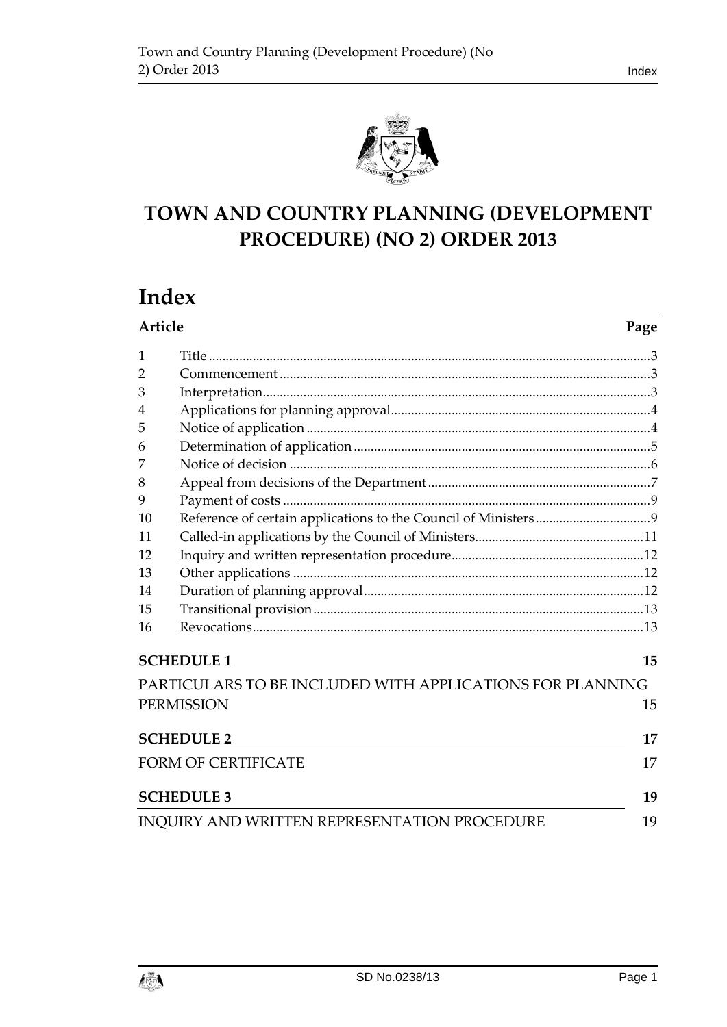



# **TOWN AND COUNTRY PLANNING (DEVELOPMENT PROCEDURE) (NO 2) ORDER 2013**

# **Index**

| Article                    |                                                           | Page |
|----------------------------|-----------------------------------------------------------|------|
| 1                          |                                                           |      |
| $\overline{2}$             |                                                           |      |
| 3                          |                                                           |      |
| 4                          |                                                           |      |
| 5                          |                                                           |      |
| 6                          |                                                           |      |
| 7                          |                                                           |      |
| 8                          |                                                           |      |
| 9                          |                                                           |      |
| 10                         |                                                           |      |
| 11                         |                                                           |      |
| 12                         |                                                           |      |
| 13                         |                                                           |      |
| 14                         |                                                           |      |
| 15                         |                                                           |      |
| 16                         |                                                           |      |
|                            | <b>SCHEDULE 1</b>                                         | 15   |
|                            | PARTICULARS TO BE INCLUDED WITH APPLICATIONS FOR PLANNING |      |
|                            | <b>PERMISSION</b>                                         | 15   |
|                            | <b>SCHEDULE 2</b>                                         | 17   |
| <b>FORM OF CERTIFICATE</b> |                                                           |      |
|                            | <b>SCHEDULE 3</b>                                         | 19   |
|                            | <b>INQUIRY AND WRITTEN REPRESENTATION PROCEDURE</b>       | 19   |

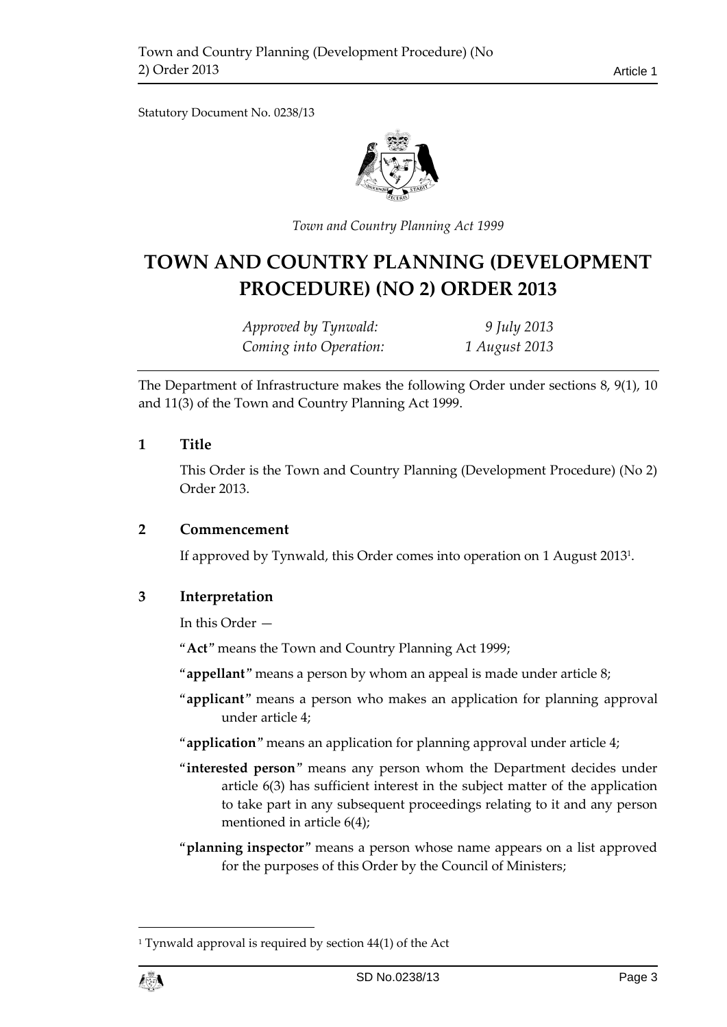Statutory Document No. 0238/13



*Town and Country Planning Act 1999*

# **TOWN AND COUNTRY PLANNING (DEVELOPMENT PROCEDURE) (NO 2) ORDER 2013**

*Approved by Tynwald: 9 July 2013 Coming into Operation: 1 August 2013*

The Department of Infrastructure makes the following Order under sections 8, 9(1), 10 and 11(3) of the Town and Country Planning Act 1999.

#### <span id="page-2-0"></span>**1 Title**

This Order is the Town and Country Planning (Development Procedure) (No 2) Order 2013.

#### <span id="page-2-1"></span>**2 Commencement**

If approved by Tynwald, this Order comes into operation on 1 August 2013<sup>1</sup> .

### <span id="page-2-2"></span>**3 Interpretation**

In this Order —

"**Act**" means the Town and Country Planning Act 1999;

"**appellant**" means a person by whom an appeal is made under article 8;

- "**applicant**" means a person who makes an application for planning approval under article 4;
- "**application**" means an application for planning approval under article 4;
- "**interested person**" means any person whom the Department decides under article 6(3) has sufficient interest in the subject matter of the application to take part in any subsequent proceedings relating to it and any person mentioned in article 6(4);
- "**planning inspector**" means a person whose name appears on a list approved for the purposes of this Order by the Council of Ministers;

<sup>&</sup>lt;sup>1</sup> Tynwald approval is required by section 44(1) of the Act



1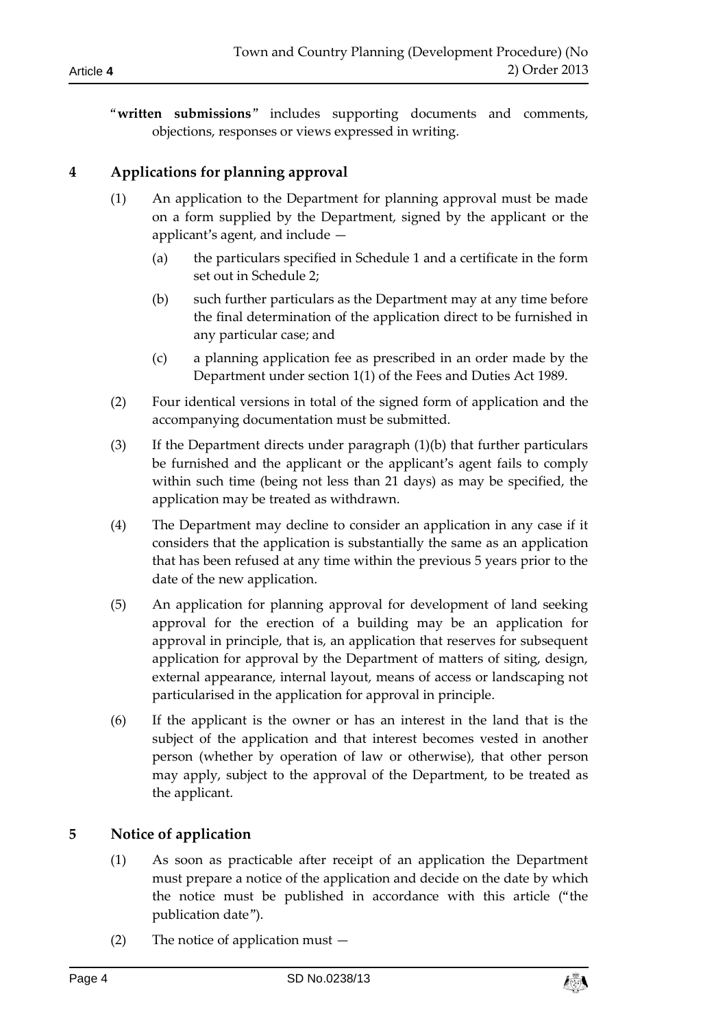"**written submissions**" includes supporting documents and comments, objections, responses or views expressed in writing.

# <span id="page-3-0"></span>**4 Applications for planning approval**

- (1) An application to the Department for planning approval must be made on a form supplied by the Department, signed by the applicant or the applicant's agent, and include —
	- (a) the particulars specified in Schedule 1 and a certificate in the form set out in Schedule 2;
	- (b) such further particulars as the Department may at any time before the final determination of the application direct to be furnished in any particular case; and
	- (c) a planning application fee as prescribed in an order made by the Department under section 1(1) of the Fees and Duties Act 1989.
- (2) Four identical versions in total of the signed form of application and the accompanying documentation must be submitted.
- (3) If the Department directs under paragraph (1)(b) that further particulars be furnished and the applicant or the applicant's agent fails to comply within such time (being not less than 21 days) as may be specified, the application may be treated as withdrawn.
- (4) The Department may decline to consider an application in any case if it considers that the application is substantially the same as an application that has been refused at any time within the previous 5 years prior to the date of the new application.
- (5) An application for planning approval for development of land seeking approval for the erection of a building may be an application for approval in principle, that is, an application that reserves for subsequent application for approval by the Department of matters of siting, design, external appearance, internal layout, means of access or landscaping not particularised in the application for approval in principle.
- (6) If the applicant is the owner or has an interest in the land that is the subject of the application and that interest becomes vested in another person (whether by operation of law or otherwise), that other person may apply, subject to the approval of the Department, to be treated as the applicant.

# <span id="page-3-1"></span>**5 Notice of application**

- (1) As soon as practicable after receipt of an application the Department must prepare a notice of the application and decide on the date by which the notice must be published in accordance with this article ("the publication date").
- (2) The notice of application must —

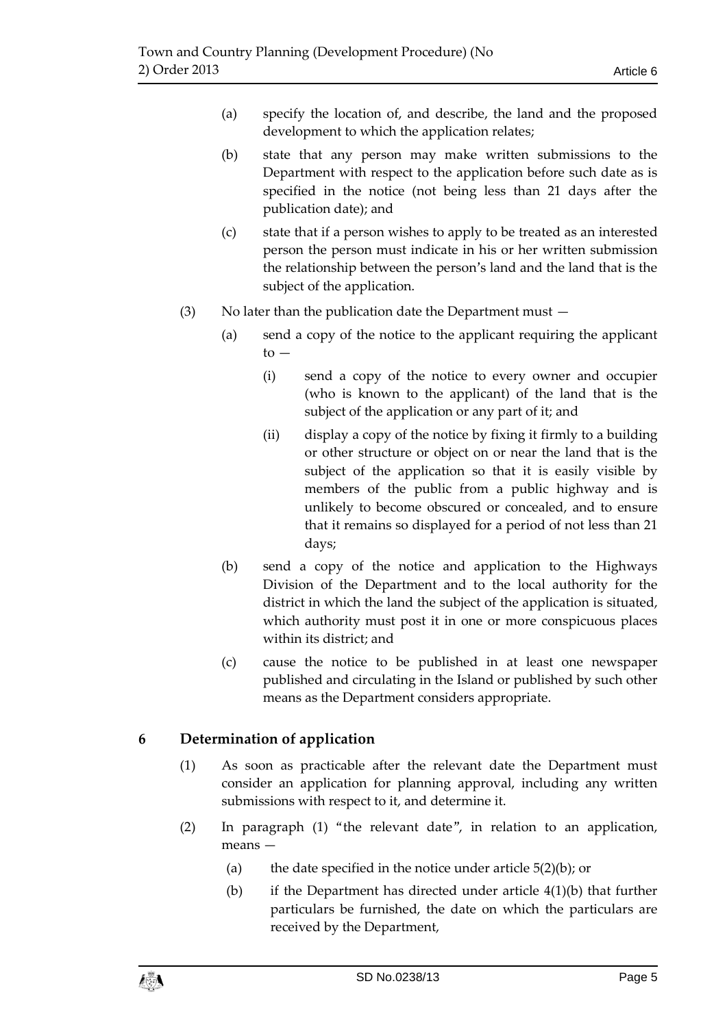- (a) specify the location of, and describe, the land and the proposed development to which the application relates;
- (b) state that any person may make written submissions to the Department with respect to the application before such date as is specified in the notice (not being less than 21 days after the publication date); and
- (c) state that if a person wishes to apply to be treated as an interested person the person must indicate in his or her written submission the relationship between the person's land and the land that is the subject of the application.
- (3) No later than the publication date the Department must
	- (a) send a copy of the notice to the applicant requiring the applicant  $to -$ 
		- (i) send a copy of the notice to every owner and occupier (who is known to the applicant) of the land that is the subject of the application or any part of it; and
		- (ii) display a copy of the notice by fixing it firmly to a building or other structure or object on or near the land that is the subject of the application so that it is easily visible by members of the public from a public highway and is unlikely to become obscured or concealed, and to ensure that it remains so displayed for a period of not less than 21 days;
	- (b) send a copy of the notice and application to the Highways Division of the Department and to the local authority for the district in which the land the subject of the application is situated, which authority must post it in one or more conspicuous places within its district; and
	- (c) cause the notice to be published in at least one newspaper published and circulating in the Island or published by such other means as the Department considers appropriate.

# <span id="page-4-0"></span>**6 Determination of application**

- (1) As soon as practicable after the relevant date the Department must consider an application for planning approval, including any written submissions with respect to it, and determine it.
- (2) In paragraph (1) "the relevant date", in relation to an application, means —
	- (a) the date specified in the notice under article  $5(2)(b)$ ; or
	- (b) if the Department has directed under article 4(1)(b) that further particulars be furnished, the date on which the particulars are received by the Department,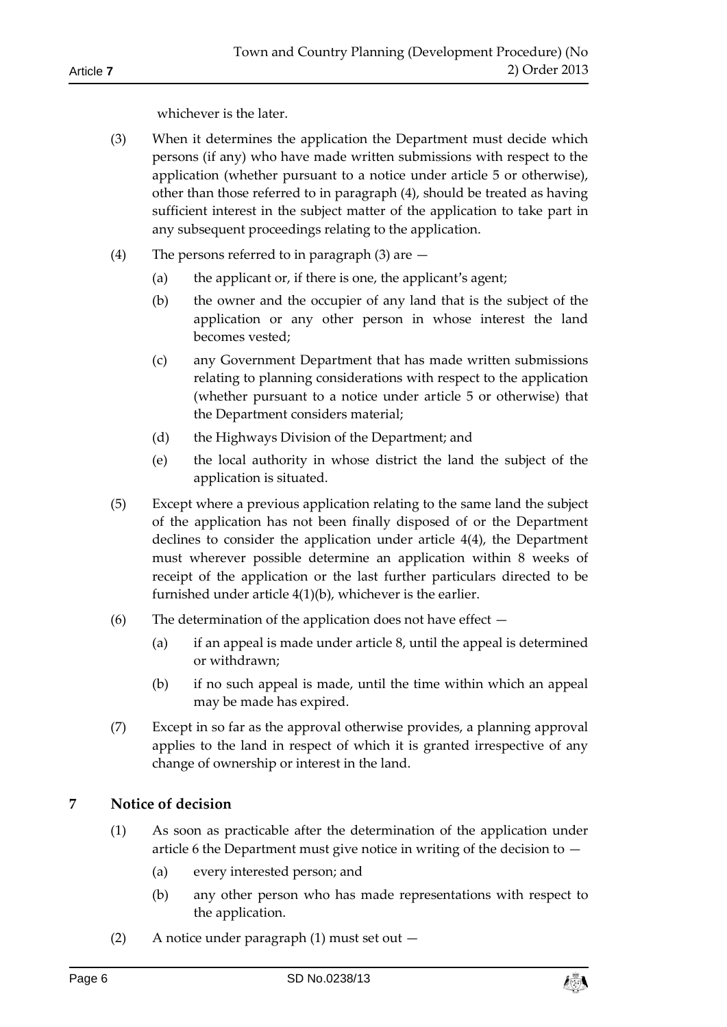whichever is the later.

- (3) When it determines the application the Department must decide which persons (if any) who have made written submissions with respect to the application (whether pursuant to a notice under article 5 or otherwise), other than those referred to in paragraph (4), should be treated as having sufficient interest in the subject matter of the application to take part in any subsequent proceedings relating to the application.
- (4) The persons referred to in paragraph (3) are
	- (a) the applicant or, if there is one, the applicant's agent;
	- (b) the owner and the occupier of any land that is the subject of the application or any other person in whose interest the land becomes vested;
	- (c) any Government Department that has made written submissions relating to planning considerations with respect to the application (whether pursuant to a notice under article 5 or otherwise) that the Department considers material;
	- (d) the Highways Division of the Department; and
	- (e) the local authority in whose district the land the subject of the application is situated.
- (5) Except where a previous application relating to the same land the subject of the application has not been finally disposed of or the Department declines to consider the application under article 4(4), the Department must wherever possible determine an application within 8 weeks of receipt of the application or the last further particulars directed to be furnished under article 4(1)(b), whichever is the earlier.
- (6) The determination of the application does not have effect
	- (a) if an appeal is made under article 8, until the appeal is determined or withdrawn;
	- (b) if no such appeal is made, until the time within which an appeal may be made has expired.
- (7) Except in so far as the approval otherwise provides, a planning approval applies to the land in respect of which it is granted irrespective of any change of ownership or interest in the land.

# <span id="page-5-0"></span>**7 Notice of decision**

- (1) As soon as practicable after the determination of the application under article 6 the Department must give notice in writing of the decision to  $-$ 
	- (a) every interested person; and
	- (b) any other person who has made representations with respect to the application.
- (2) A notice under paragraph (1) must set out —

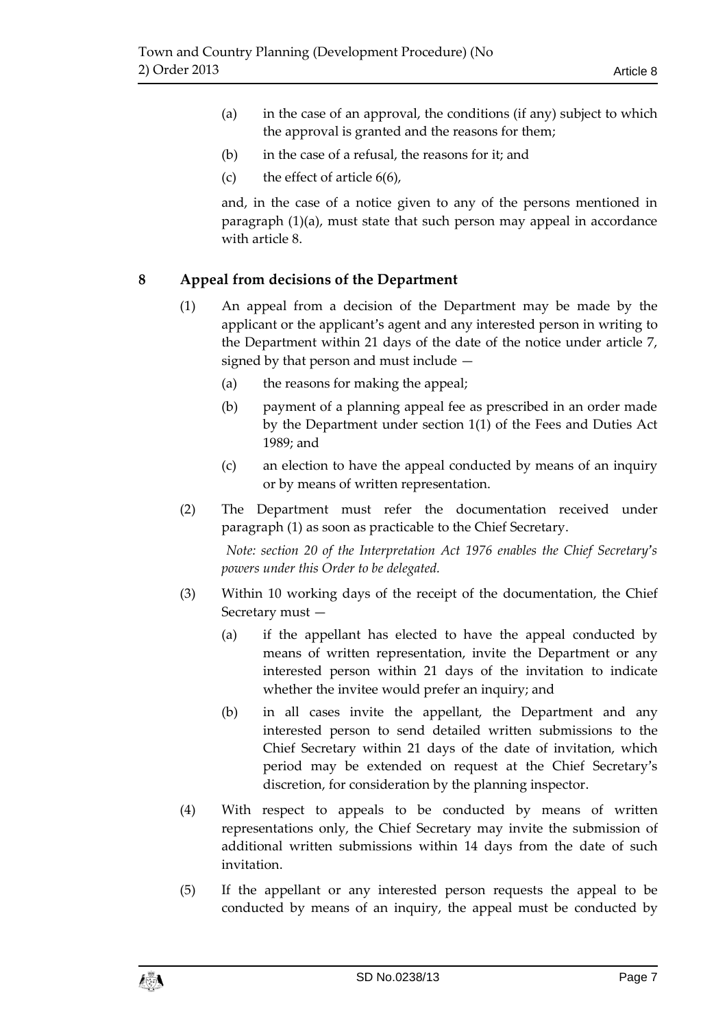- (a) in the case of an approval, the conditions (if any) subject to which the approval is granted and the reasons for them;
- (b) in the case of a refusal, the reasons for it; and
- (c) the effect of article  $6(6)$ ,

and, in the case of a notice given to any of the persons mentioned in paragraph (1)(a), must state that such person may appeal in accordance with article 8.

## <span id="page-6-0"></span>**8 Appeal from decisions of the Department**

- (1) An appeal from a decision of the Department may be made by the applicant or the applicant's agent and any interested person in writing to the Department within 21 days of the date of the notice under article 7, signed by that person and must include —
	- (a) the reasons for making the appeal;
	- (b) payment of a planning appeal fee as prescribed in an order made by the Department under section 1(1) of the Fees and Duties Act 1989; and
	- (c) an election to have the appeal conducted by means of an inquiry or by means of written representation.
- (2) The Department must refer the documentation received under paragraph (1) as soon as practicable to the Chief Secretary.

*Note: section 20 of the Interpretation Act 1976 enables the Chief Secretary's powers under this Order to be delegated.*

- (3) Within 10 working days of the receipt of the documentation, the Chief Secretary must —
	- (a) if the appellant has elected to have the appeal conducted by means of written representation, invite the Department or any interested person within 21 days of the invitation to indicate whether the invitee would prefer an inquiry; and
	- (b) in all cases invite the appellant, the Department and any interested person to send detailed written submissions to the Chief Secretary within 21 days of the date of invitation, which period may be extended on request at the Chief Secretary's discretion, for consideration by the planning inspector.
- (4) With respect to appeals to be conducted by means of written representations only, the Chief Secretary may invite the submission of additional written submissions within 14 days from the date of such invitation.
- (5) If the appellant or any interested person requests the appeal to be conducted by means of an inquiry, the appeal must be conducted by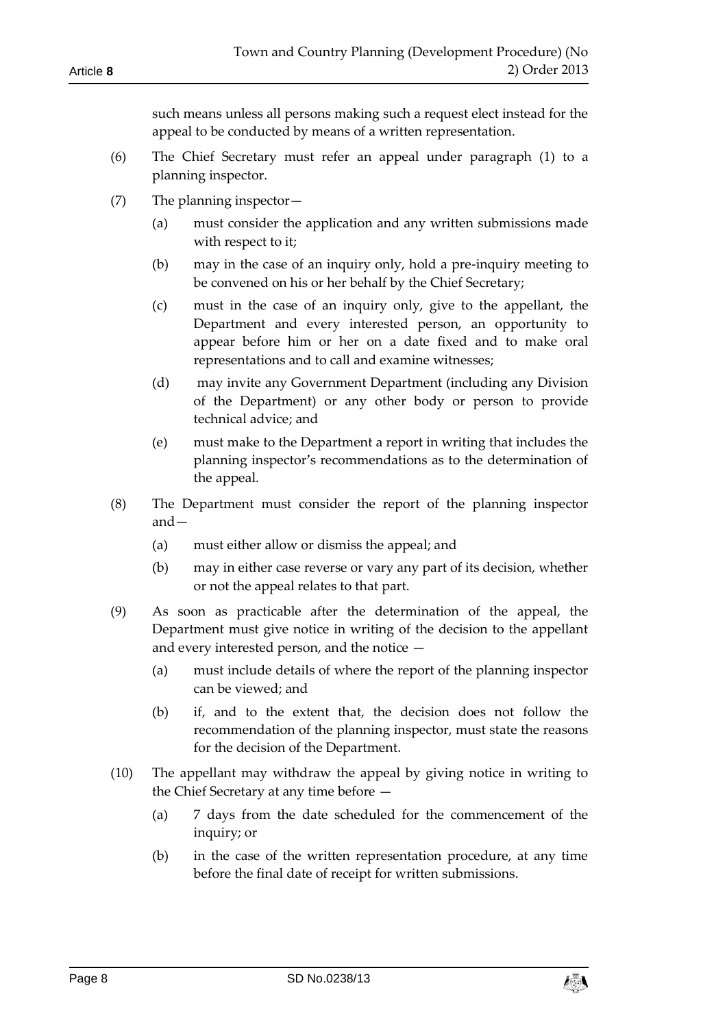such means unless all persons making such a request elect instead for the appeal to be conducted by means of a written representation.

- (6) The Chief Secretary must refer an appeal under paragraph (1) to a planning inspector.
- (7) The planning inspector—
	- (a) must consider the application and any written submissions made with respect to it;
	- (b) may in the case of an inquiry only, hold a pre-inquiry meeting to be convened on his or her behalf by the Chief Secretary;
	- (c) must in the case of an inquiry only, give to the appellant, the Department and every interested person, an opportunity to appear before him or her on a date fixed and to make oral representations and to call and examine witnesses;
	- (d) may invite any Government Department (including any Division of the Department) or any other body or person to provide technical advice; and
	- (e) must make to the Department a report in writing that includes the planning inspector's recommendations as to the determination of the appeal.
- (8) The Department must consider the report of the planning inspector and—
	- (a) must either allow or dismiss the appeal; and
	- (b) may in either case reverse or vary any part of its decision, whether or not the appeal relates to that part.
- (9) As soon as practicable after the determination of the appeal, the Department must give notice in writing of the decision to the appellant and every interested person, and the notice —
	- (a) must include details of where the report of the planning inspector can be viewed; and
	- (b) if, and to the extent that, the decision does not follow the recommendation of the planning inspector, must state the reasons for the decision of the Department.
- (10) The appellant may withdraw the appeal by giving notice in writing to the Chief Secretary at any time before —
	- (a) 7 days from the date scheduled for the commencement of the inquiry; or
	- (b) in the case of the written representation procedure, at any time before the final date of receipt for written submissions.

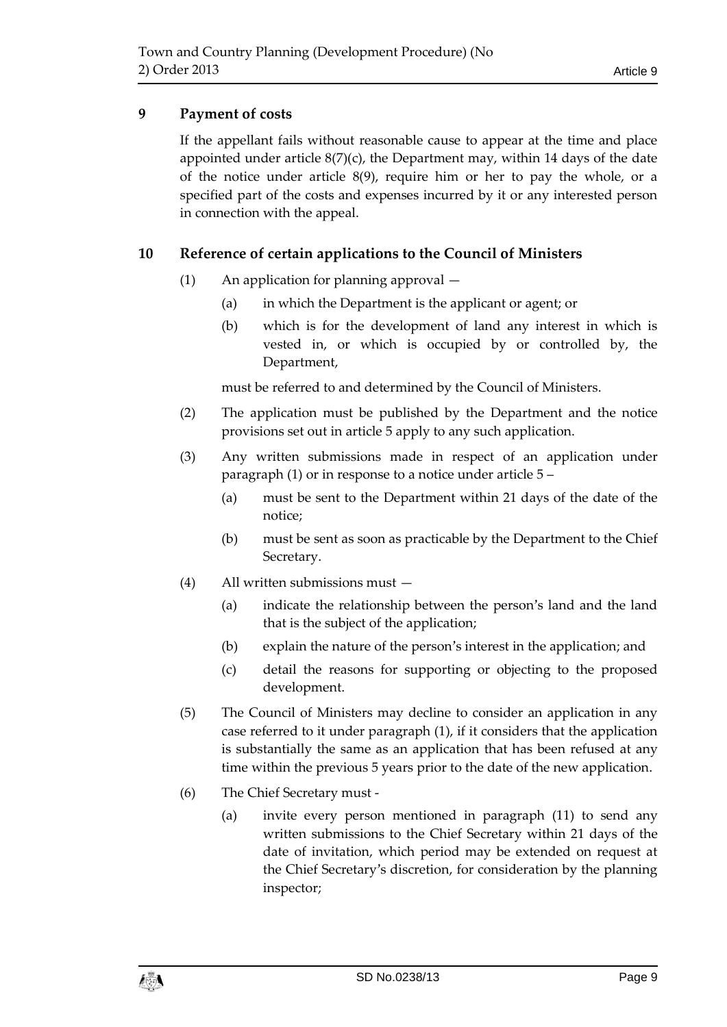# <span id="page-8-0"></span>**9 Payment of costs**

If the appellant fails without reasonable cause to appear at the time and place appointed under article  $8(7)(c)$ , the Department may, within 14 days of the date of the notice under article  $8(9)$ , require him or her to pay the whole, or a specified part of the costs and expenses incurred by it or any interested person in connection with the appeal.

## <span id="page-8-1"></span>**10 Reference of certain applications to the Council of Ministers**

- (1) An application for planning approval
	- (a) in which the Department is the applicant or agent; or
	- (b) which is for the development of land any interest in which is vested in, or which is occupied by or controlled by, the Department,

must be referred to and determined by the Council of Ministers.

- (2) The application must be published by the Department and the notice provisions set out in article 5 apply to any such application.
- (3) Any written submissions made in respect of an application under paragraph (1) or in response to a notice under article 5 –
	- (a) must be sent to the Department within 21 days of the date of the notice;
	- (b) must be sent as soon as practicable by the Department to the Chief Secretary.
- (4) All written submissions must
	- (a) indicate the relationship between the person's land and the land that is the subject of the application;
	- (b) explain the nature of the person's interest in the application; and
	- (c) detail the reasons for supporting or objecting to the proposed development.
- (5) The Council of Ministers may decline to consider an application in any case referred to it under paragraph (1), if it considers that the application is substantially the same as an application that has been refused at any time within the previous 5 years prior to the date of the new application.
- (6) The Chief Secretary must
	- (a) invite every person mentioned in paragraph (11) to send any written submissions to the Chief Secretary within 21 days of the date of invitation, which period may be extended on request at the Chief Secretary's discretion, for consideration by the planning inspector;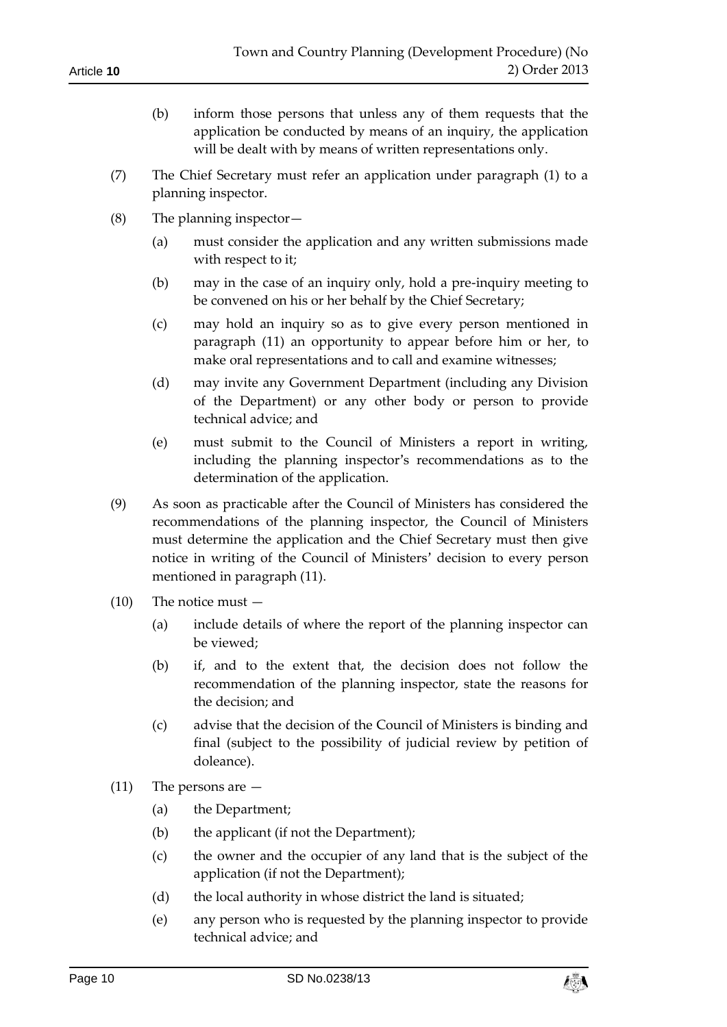- (b) inform those persons that unless any of them requests that the application be conducted by means of an inquiry, the application will be dealt with by means of written representations only.
- (7) The Chief Secretary must refer an application under paragraph (1) to a planning inspector.
- (8) The planning inspector—
	- (a) must consider the application and any written submissions made with respect to it;
	- (b) may in the case of an inquiry only, hold a pre-inquiry meeting to be convened on his or her behalf by the Chief Secretary;
	- (c) may hold an inquiry so as to give every person mentioned in paragraph (11) an opportunity to appear before him or her, to make oral representations and to call and examine witnesses;
	- (d) may invite any Government Department (including any Division of the Department) or any other body or person to provide technical advice; and
	- (e) must submit to the Council of Ministers a report in writing, including the planning inspector's recommendations as to the determination of the application.
- (9) As soon as practicable after the Council of Ministers has considered the recommendations of the planning inspector, the Council of Ministers must determine the application and the Chief Secretary must then give notice in writing of the Council of Ministers' decision to every person mentioned in paragraph (11).
- (10) The notice must
	- (a) include details of where the report of the planning inspector can be viewed;
	- (b) if, and to the extent that, the decision does not follow the recommendation of the planning inspector, state the reasons for the decision; and
	- (c) advise that the decision of the Council of Ministers is binding and final (subject to the possibility of judicial review by petition of doleance).
- (11) The persons are
	- (a) the Department;
	- (b) the applicant (if not the Department);
	- (c) the owner and the occupier of any land that is the subject of the application (if not the Department);
	- (d) the local authority in whose district the land is situated;
	- (e) any person who is requested by the planning inspector to provide technical advice; and

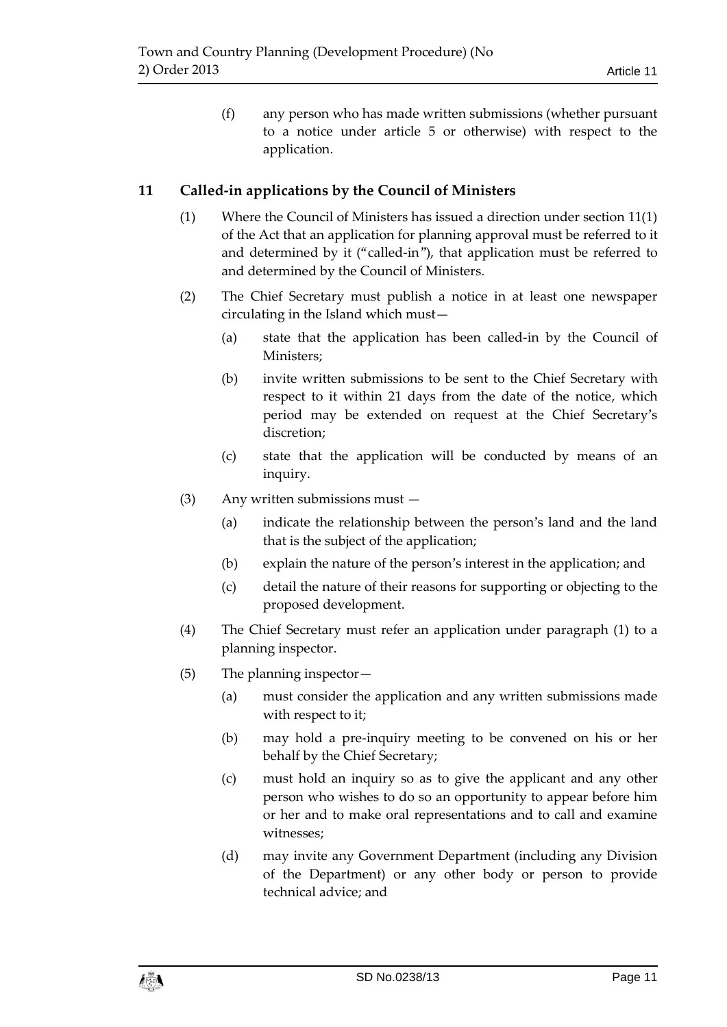(f) any person who has made written submissions (whether pursuant to a notice under article 5 or otherwise) with respect to the application.

## <span id="page-10-0"></span>**11 Called-in applications by the Council of Ministers**

- (1) Where the Council of Ministers has issued a direction under section 11(1) of the Act that an application for planning approval must be referred to it and determined by it ("called-in"), that application must be referred to and determined by the Council of Ministers.
- (2) The Chief Secretary must publish a notice in at least one newspaper circulating in the Island which must—
	- (a) state that the application has been called-in by the Council of Ministers;
	- (b) invite written submissions to be sent to the Chief Secretary with respect to it within 21 days from the date of the notice, which period may be extended on request at the Chief Secretary's discretion;
	- (c) state that the application will be conducted by means of an inquiry.
- (3) Any written submissions must
	- (a) indicate the relationship between the person's land and the land that is the subject of the application;
	- (b) explain the nature of the person's interest in the application; and
	- (c) detail the nature of their reasons for supporting or objecting to the proposed development.
- (4) The Chief Secretary must refer an application under paragraph (1) to a planning inspector.
- (5) The planning inspector—
	- (a) must consider the application and any written submissions made with respect to it;
	- (b) may hold a pre-inquiry meeting to be convened on his or her behalf by the Chief Secretary;
	- (c) must hold an inquiry so as to give the applicant and any other person who wishes to do so an opportunity to appear before him or her and to make oral representations and to call and examine witnesses;
	- (d) may invite any Government Department (including any Division of the Department) or any other body or person to provide technical advice; and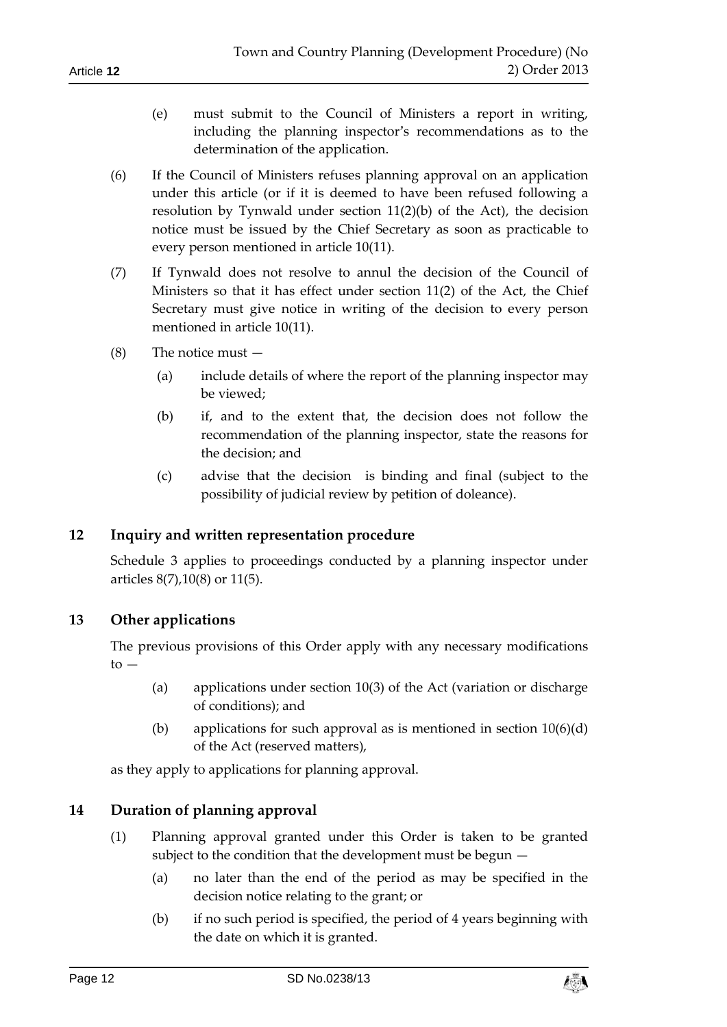- (e) must submit to the Council of Ministers a report in writing, including the planning inspector's recommendations as to the determination of the application.
- (6) If the Council of Ministers refuses planning approval on an application under this article (or if it is deemed to have been refused following a resolution by Tynwald under section 11(2)(b) of the Act), the decision notice must be issued by the Chief Secretary as soon as practicable to every person mentioned in article 10(11).
- (7) If Tynwald does not resolve to annul the decision of the Council of Ministers so that it has effect under section 11(2) of the Act, the Chief Secretary must give notice in writing of the decision to every person mentioned in article 10(11).
- (8) The notice must
	- (a) include details of where the report of the planning inspector may be viewed;
	- (b) if, and to the extent that, the decision does not follow the recommendation of the planning inspector, state the reasons for the decision; and
	- (c) advise that the decision is binding and final (subject to the possibility of judicial review by petition of doleance).

# <span id="page-11-0"></span>**12 Inquiry and written representation procedure**

Schedule 3 applies to proceedings conducted by a planning inspector under articles 8(7),10(8) or 11(5).

### <span id="page-11-1"></span>**13 Other applications**

The previous provisions of this Order apply with any necessary modifications  $to -$ 

- (a) applications under section 10(3) of the Act (variation or discharge of conditions); and
- (b) applications for such approval as is mentioned in section  $10(6)(d)$ of the Act (reserved matters),

as they apply to applications for planning approval.

# <span id="page-11-2"></span>**14 Duration of planning approval**

- (1) Planning approval granted under this Order is taken to be granted subject to the condition that the development must be begun —
	- (a) no later than the end of the period as may be specified in the decision notice relating to the grant; or
	- (b) if no such period is specified, the period of 4 years beginning with the date on which it is granted.

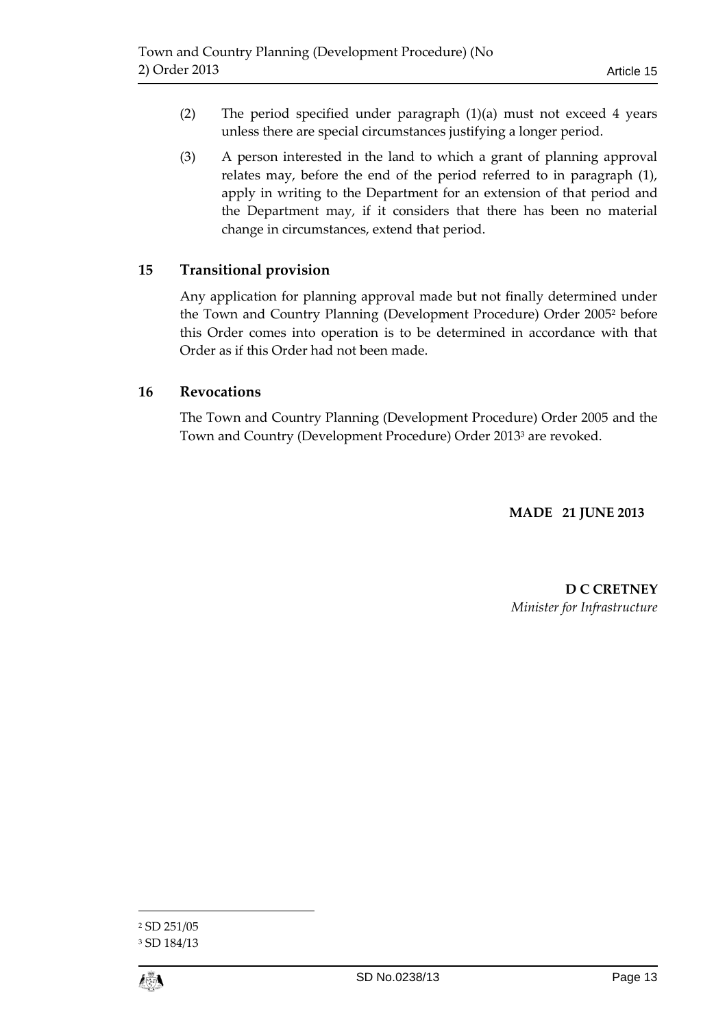- (2) The period specified under paragraph (1)(a) must not exceed 4 years unless there are special circumstances justifying a longer period.
- (3) A person interested in the land to which a grant of planning approval relates may, before the end of the period referred to in paragraph (1), apply in writing to the Department for an extension of that period and the Department may, if it considers that there has been no material change in circumstances, extend that period.

# <span id="page-12-0"></span>**15 Transitional provision**

Any application for planning approval made but not finally determined under the Town and Country Planning (Development Procedure) Order 2005<sup>2</sup> before this Order comes into operation is to be determined in accordance with that Order as if this Order had not been made.

## <span id="page-12-1"></span>**16 Revocations**

The Town and Country Planning (Development Procedure) Order 2005 and the Town and Country (Development Procedure) Order 2013<sup>3</sup> are revoked.

## **MADE 21 JUNE 2013**

**D C CRETNEY** *Minister for Infrastructure*

 $\overline{a}$ 

<sup>2</sup> SD 251/05

<sup>3</sup> SD 184/13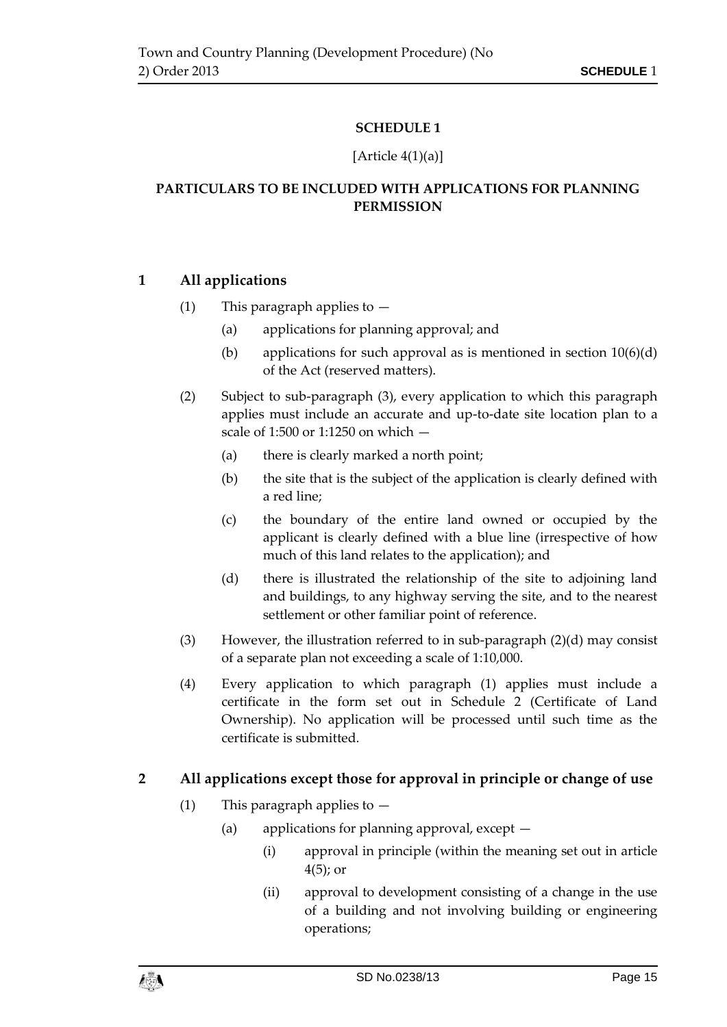### **SCHEDULE 1**

#### [Article  $4(1)(a)$ ]

# <span id="page-14-1"></span><span id="page-14-0"></span>**PARTICULARS TO BE INCLUDED WITH APPLICATIONS FOR PLANNING PERMISSION**

# **1 All applications**

## (1) This paragraph applies to  $-$

- (a) applications for planning approval; and
- (b) applications for such approval as is mentioned in section  $10(6)(d)$ of the Act (reserved matters).
- (2) Subject to sub-paragraph (3), every application to which this paragraph applies must include an accurate and up-to-date site location plan to a scale of 1:500 or 1:1250 on which —
	- (a) there is clearly marked a north point;
	- (b) the site that is the subject of the application is clearly defined with a red line;
	- (c) the boundary of the entire land owned or occupied by the applicant is clearly defined with a blue line (irrespective of how much of this land relates to the application); and
	- (d) there is illustrated the relationship of the site to adjoining land and buildings, to any highway serving the site, and to the nearest settlement or other familiar point of reference.
- (3) However, the illustration referred to in sub-paragraph (2)(d) may consist of a separate plan not exceeding a scale of 1:10,000.
- (4) Every application to which paragraph (1) applies must include a certificate in the form set out in Schedule 2 (Certificate of Land Ownership). No application will be processed until such time as the certificate is submitted.

# **2 All applications except those for approval in principle or change of use**

- (1) This paragraph applies to  $-$ 
	- (a) applications for planning approval, except
		- (i) approval in principle (within the meaning set out in article 4(5); or
		- (ii) approval to development consisting of a change in the use of a building and not involving building or engineering operations;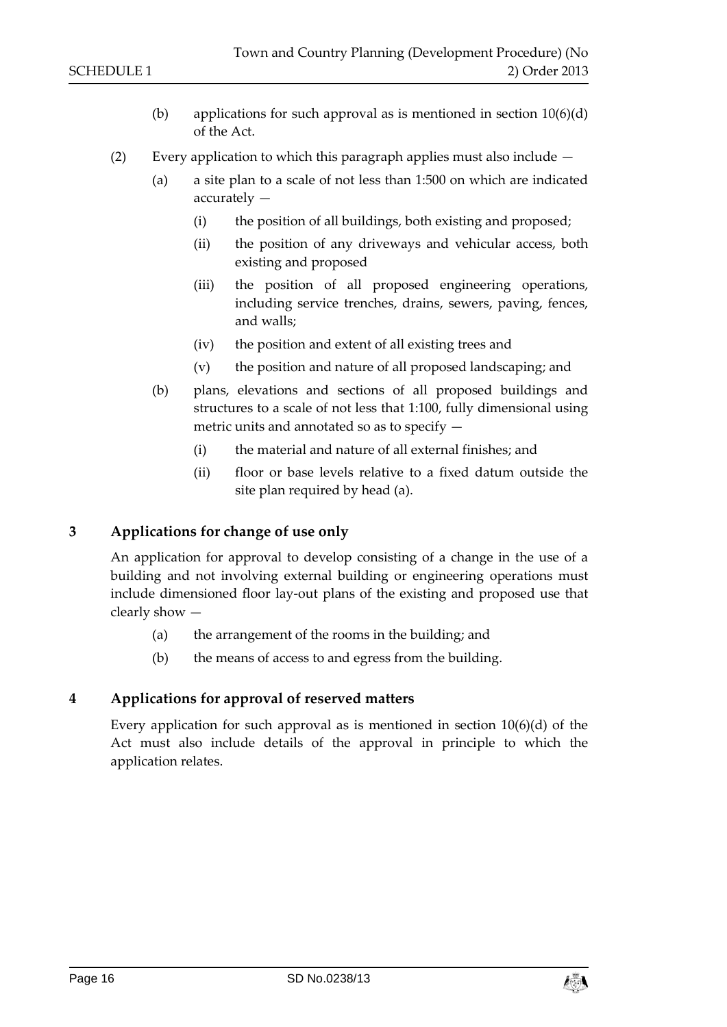- (b) applications for such approval as is mentioned in section  $10(6)(d)$ of the Act.
- (2) Every application to which this paragraph applies must also include
	- (a) a site plan to a scale of not less than 1:500 on which are indicated accurately —
		- (i) the position of all buildings, both existing and proposed;
		- (ii) the position of any driveways and vehicular access, both existing and proposed
		- (iii) the position of all proposed engineering operations, including service trenches, drains, sewers, paving, fences, and walls;
		- (iv) the position and extent of all existing trees and
		- (v) the position and nature of all proposed landscaping; and
	- (b) plans, elevations and sections of all proposed buildings and structures to a scale of not less that 1:100, fully dimensional using metric units and annotated so as to specify —
		- (i) the material and nature of all external finishes; and
		- (ii) floor or base levels relative to a fixed datum outside the site plan required by head (a).

### **3 Applications for change of use only**

An application for approval to develop consisting of a change in the use of a building and not involving external building or engineering operations must include dimensioned floor lay-out plans of the existing and proposed use that clearly show —

- (a) the arrangement of the rooms in the building; and
- (b) the means of access to and egress from the building.

#### **4 Applications for approval of reserved matters**

Every application for such approval as is mentioned in section 10(6)(d) of the Act must also include details of the approval in principle to which the application relates.

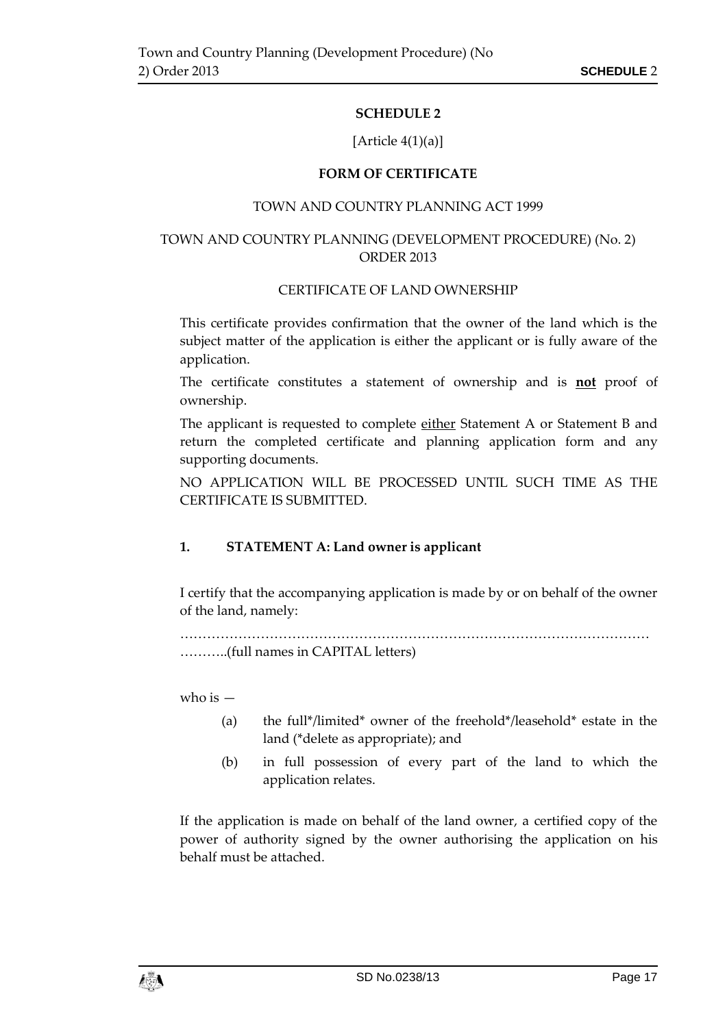### **SCHEDULE 2**

#### [Article  $4(1)(a)$ ]

#### **FORM OF CERTIFICATE**

#### TOWN AND COUNTRY PLANNING ACT 1999

#### <span id="page-16-1"></span><span id="page-16-0"></span>TOWN AND COUNTRY PLANNING (DEVELOPMENT PROCEDURE) (No. 2) ORDER 2013

#### CERTIFICATE OF LAND OWNERSHIP

This certificate provides confirmation that the owner of the land which is the subject matter of the application is either the applicant or is fully aware of the application.

The certificate constitutes a statement of ownership and is **not** proof of ownership.

The applicant is requested to complete either Statement A or Statement B and return the completed certificate and planning application form and any supporting documents.

NO APPLICATION WILL BE PROCESSED UNTIL SUCH TIME AS THE CERTIFICATE IS SUBMITTED.

### **1. STATEMENT A: Land owner is applicant**

I certify that the accompanying application is made by or on behalf of the owner of the land, namely:

…………………………………………………………………………………………… ………..(full names in CAPITAL letters)

who is  $-$ 

- (a) the full\*/limited\* owner of the freehold\*/leasehold\* estate in the land (\*delete as appropriate); and
- (b) in full possession of every part of the land to which the application relates.

If the application is made on behalf of the land owner, a certified copy of the power of authority signed by the owner authorising the application on his behalf must be attached.

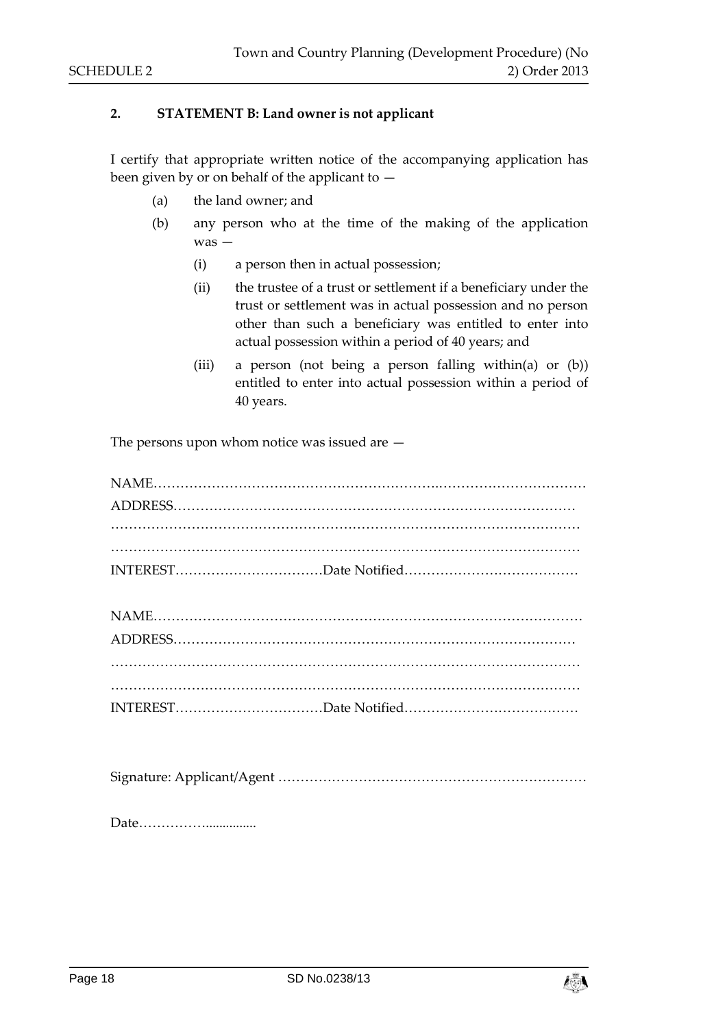#### **2. STATEMENT B: Land owner is not applicant**

I certify that appropriate written notice of the accompanying application has been given by or on behalf of the applicant to —

- (a) the land owner; and
- (b) any person who at the time of the making of the application was —
	- (i) a person then in actual possession;
	- (ii) the trustee of a trust or settlement if a beneficiary under the trust or settlement was in actual possession and no person other than such a beneficiary was entitled to enter into actual possession within a period of 40 years; and
	- (iii) a person (not being a person falling within(a) or (b)) entitled to enter into actual possession within a period of 40 years.

The persons upon whom notice was issued are —

Signature: Applicant/Agent ……………………………………………………………

Date……………...............

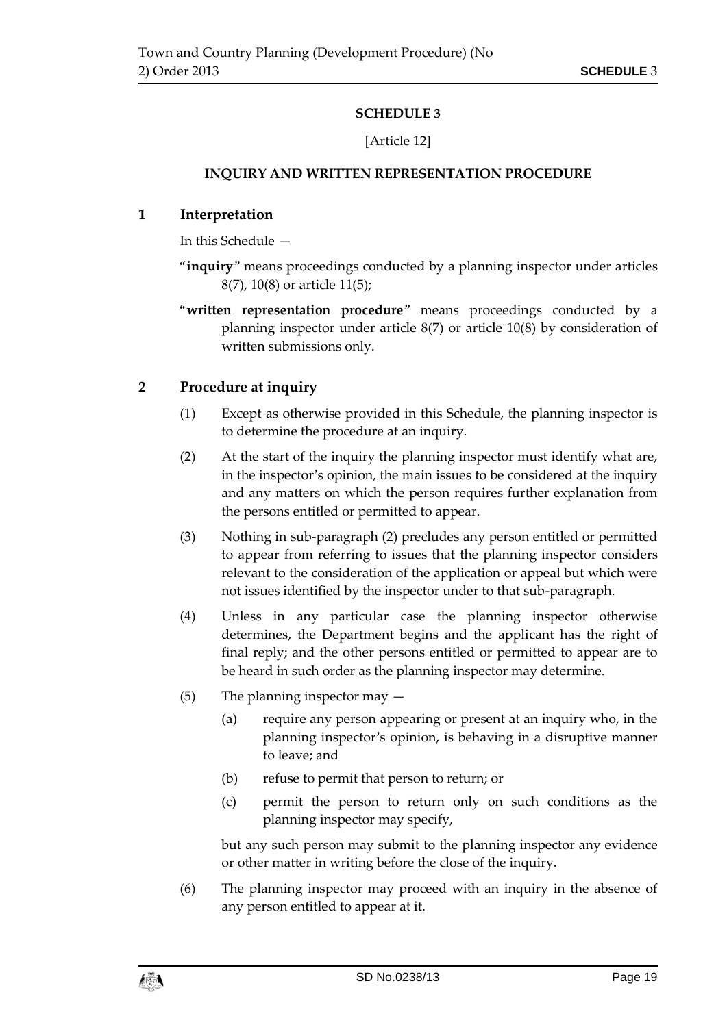# **SCHEDULE 3**

### [Article 12]

### <span id="page-18-0"></span>**INQUIRY AND WRITTEN REPRESENTATION PROCEDURE**

## <span id="page-18-1"></span>**1 Interpretation**

In this Schedule —

- "**inquiry**" means proceedings conducted by a planning inspector under articles 8(7), 10(8) or article 11(5);
- "**written representation procedure**" means proceedings conducted by a planning inspector under article 8(7) or article 10(8) by consideration of written submissions only.

# **2 Procedure at inquiry**

- (1) Except as otherwise provided in this Schedule, the planning inspector is to determine the procedure at an inquiry.
- (2) At the start of the inquiry the planning inspector must identify what are, in the inspector's opinion, the main issues to be considered at the inquiry and any matters on which the person requires further explanation from the persons entitled or permitted to appear.
- (3) Nothing in sub-paragraph (2) precludes any person entitled or permitted to appear from referring to issues that the planning inspector considers relevant to the consideration of the application or appeal but which were not issues identified by the inspector under to that sub-paragraph.
- (4) Unless in any particular case the planning inspector otherwise determines, the Department begins and the applicant has the right of final reply; and the other persons entitled or permitted to appear are to be heard in such order as the planning inspector may determine.
- (5) The planning inspector may
	- (a) require any person appearing or present at an inquiry who, in the planning inspector's opinion, is behaving in a disruptive manner to leave; and
	- (b) refuse to permit that person to return; or
	- (c) permit the person to return only on such conditions as the planning inspector may specify,

but any such person may submit to the planning inspector any evidence or other matter in writing before the close of the inquiry.

(6) The planning inspector may proceed with an inquiry in the absence of any person entitled to appear at it.

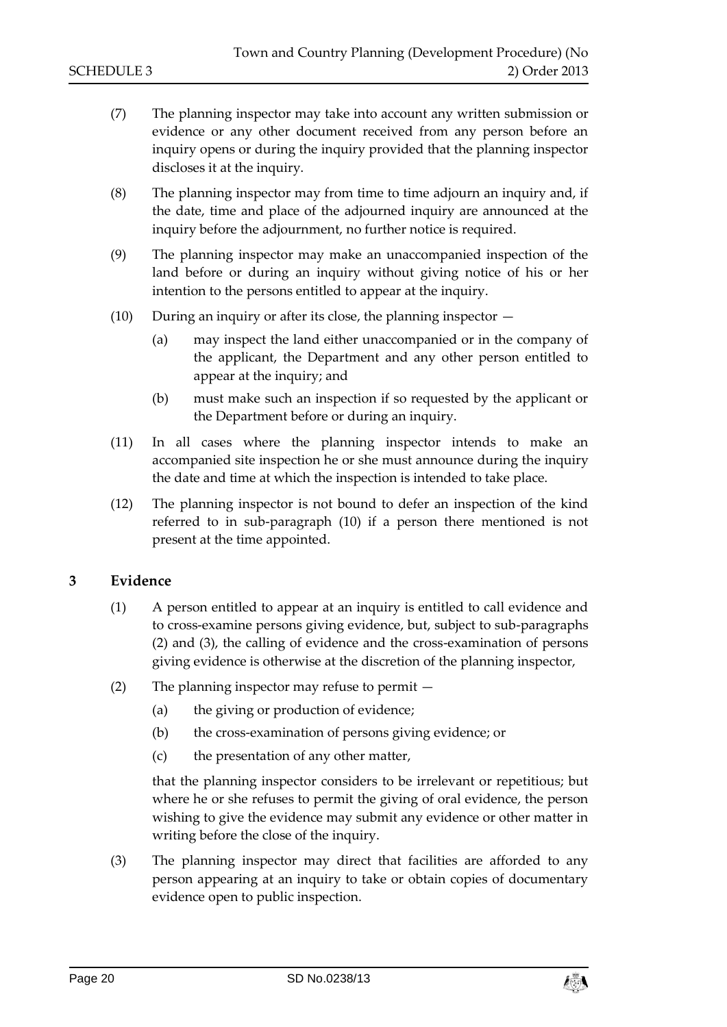- (7) The planning inspector may take into account any written submission or evidence or any other document received from any person before an inquiry opens or during the inquiry provided that the planning inspector discloses it at the inquiry.
- (8) The planning inspector may from time to time adjourn an inquiry and, if the date, time and place of the adjourned inquiry are announced at the inquiry before the adjournment, no further notice is required.
- (9) The planning inspector may make an unaccompanied inspection of the land before or during an inquiry without giving notice of his or her intention to the persons entitled to appear at the inquiry.
- (10) During an inquiry or after its close, the planning inspector
	- (a) may inspect the land either unaccompanied or in the company of the applicant, the Department and any other person entitled to appear at the inquiry; and
	- (b) must make such an inspection if so requested by the applicant or the Department before or during an inquiry.
- (11) In all cases where the planning inspector intends to make an accompanied site inspection he or she must announce during the inquiry the date and time at which the inspection is intended to take place.
- (12) The planning inspector is not bound to defer an inspection of the kind referred to in sub-paragraph (10) if a person there mentioned is not present at the time appointed.

### **3 Evidence**

- (1) A person entitled to appear at an inquiry is entitled to call evidence and to cross-examine persons giving evidence, but, subject to sub-paragraphs (2) and (3), the calling of evidence and the cross-examination of persons giving evidence is otherwise at the discretion of the planning inspector,
- (2) The planning inspector may refuse to permit
	- (a) the giving or production of evidence;
	- (b) the cross-examination of persons giving evidence; or
	- (c) the presentation of any other matter,

that the planning inspector considers to be irrelevant or repetitious; but where he or she refuses to permit the giving of oral evidence, the person wishing to give the evidence may submit any evidence or other matter in writing before the close of the inquiry.

(3) The planning inspector may direct that facilities are afforded to any person appearing at an inquiry to take or obtain copies of documentary evidence open to public inspection.

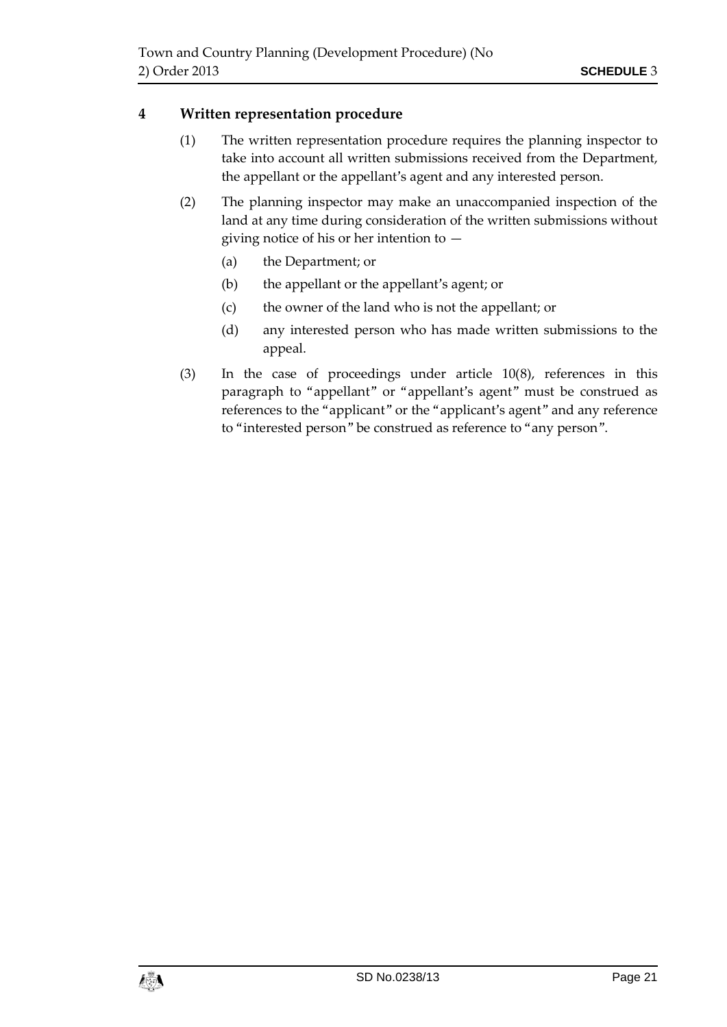## **4 Written representation procedure**

- (1) The written representation procedure requires the planning inspector to take into account all written submissions received from the Department, the appellant or the appellant's agent and any interested person.
- (2) The planning inspector may make an unaccompanied inspection of the land at any time during consideration of the written submissions without giving notice of his or her intention to —
	- (a) the Department; or
	- (b) the appellant or the appellant's agent; or
	- (c) the owner of the land who is not the appellant; or
	- (d) any interested person who has made written submissions to the appeal.
- (3) In the case of proceedings under article 10(8), references in this paragraph to "appellant" or "appellant's agent" must be construed as references to the "applicant" or the "applicant's agent" and any reference to "interested person" be construed as reference to "any person".